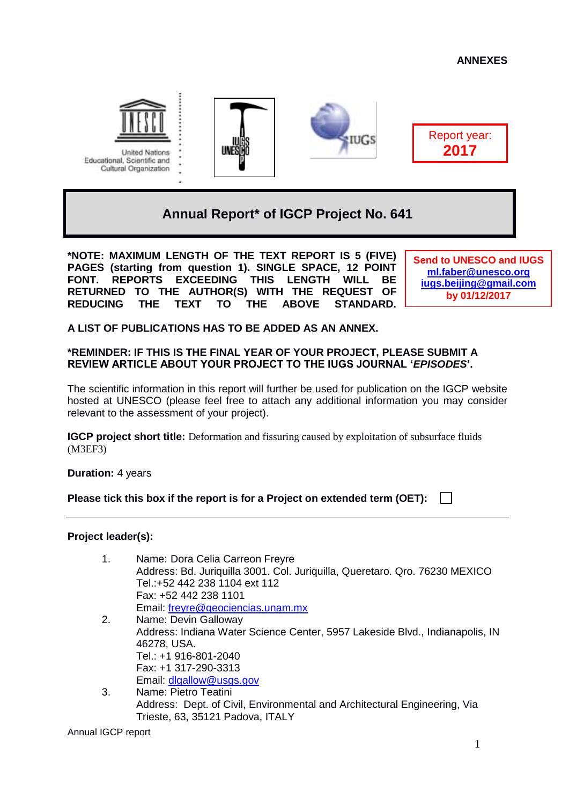

**United Nations** Educational, Scientific and Cultural Organization





Report year: **2017**

# **Annual Report\* of IGCP Project No. 641**

**\*NOTE: MAXIMUM LENGTH OF THE TEXT REPORT IS 5 (FIVE) PAGES (starting from question 1). SINGLE SPACE, 12 POINT FONT. REPORTS EXCEEDING THIS LENGTH WILL BE RETURNED TO THE AUTHOR(S) WITH THE REQUEST OF REDUCING THE TEXT TO THE ABOVE STANDARD.** 

**Send to UNESCO and IUGS [ml.faber@unesco.org](mailto:ml.faber@unesco.org) [iugs.beijing@gmail.com](mailto:iugs.beijing@gmail.com) by 01/12/2017**

**A LIST OF PUBLICATIONS HAS TO BE ADDED AS AN ANNEX.**

### **\*REMINDER: IF THIS IS THE FINAL YEAR OF YOUR PROJECT, PLEASE SUBMIT A REVIEW ARTICLE ABOUT YOUR PROJECT TO THE IUGS JOURNAL '***EPISODES***'.**

The scientific information in this report will further be used for publication on the IGCP website hosted at UNESCO (please feel free to attach any additional information you may consider relevant to the assessment of your project).

**IGCP project short title:** Deformation and fissuring caused by exploitation of subsurface fluids (M3EF3)

**Duration:** 4 years

**Please tick this box if the report is for a Project on extended term (OET):**

## **Project leader(s):**

- 1. Name: Dora Celia Carreon Freyre Address: Bd. Juriquilla 3001. Col. Juriquilla, Queretaro. Qro. 76230 MEXICO Tel.:+52 442 238 1104 ext 112 Fax: +52 442 238 1101 Email: [freyre@geociencias.unam.mx](mailto:freyre@geociencias.unam.mx)
- 2. Name: Devin Galloway Address: Indiana Water Science Center, 5957 Lakeside Blvd., Indianapolis, IN 46278, USA. Tel.: +1 916-801-2040 Fax: +1 317-290-3313 Email: [dlgallow@usgs.gov](mailto:dlgallow@usgs.gov)
- 3. Name: Pietro Teatini Address: Dept. of Civil, Environmental and Architectural Engineering, Via Trieste, 63, 35121 Padova, ITALY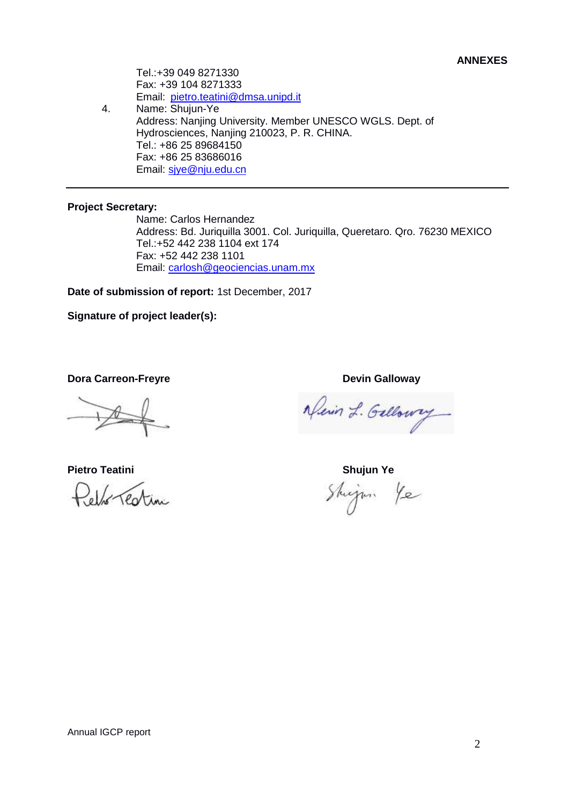Tel.:+39 049 8271330 Fax: +39 104 8271333 Email: [pietro.teatini@dmsa.unipd.it](mailto:pietro.teatini@dmsa.unipd.it)

4. Name: Shujun-Ye Address: Nanjing University. Member UNESCO WGLS. Dept. of Hydrosciences, Nanjing 210023, P. R. CHINA. Tel.: +86 25 89684150 Fax: +86 25 83686016 Email: siye@nju.edu.cn

#### **Project Secretary:**

Name: Carlos Hernandez Address: Bd. Juriquilla 3001. Col. Juriquilla, Queretaro. Qro. 76230 MEXICO Tel.:+52 442 238 1104 ext 174 Fax: +52 442 238 1101 Email: [carlosh@geociencias.unam.mx](mailto:carlosh@geociencias.unam.mx)

**Date of submission of report:** 1st December, 2017

**Signature of project leader(s):**

**Dora Carreon-Freyre Devin Galloway** 

elf renting

Newin L. Gallowy

**Pietro Teatini Shujun Ye**Shijan Ye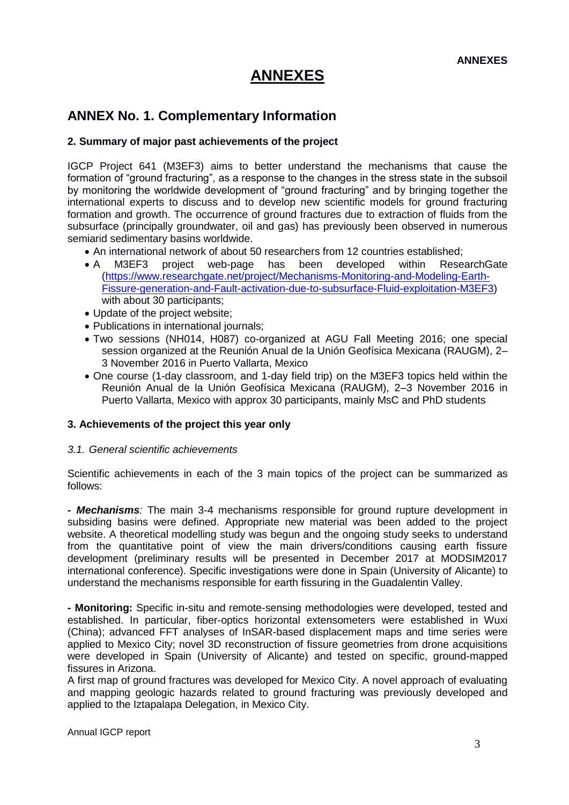## **ANNEX No. 1. Complementary Information**

### **2. Summary of major past achievements of the project**

IGCP Project 641 (M3EF3) aims to better understand the mechanisms that cause the formation of "ground fracturing", as a response to the changes in the stress state in the subsoil by monitoring the worldwide development of "ground fracturing" and by bringing together the international experts to discuss and to develop new scientific models for ground fracturing formation and growth. The occurrence of ground fractures due to extraction of fluids from the subsurface (principally groundwater, oil and gas) has previously been observed in numerous semiarid sedimentary basins worldwide.

- An international network of about 50 researchers from 12 countries established;
- A M3EF3 project web-page has been developed within ResearchGate [\(https://www.researchgate.net/project/Mechanisms-Monitoring-and-Modeling-Earth-](https://www.researchgate.net/project/Mechanisms-Monitoring-and-Modeling-Earth-Fissure-generation-and-Fault-activation-due-to-subsurface-Fluid-exploitation-M3EF3)[Fissure-generation-and-Fault-activation-due-to-subsurface-Fluid-exploitation-M3EF3\)](https://www.researchgate.net/project/Mechanisms-Monitoring-and-Modeling-Earth-Fissure-generation-and-Fault-activation-due-to-subsurface-Fluid-exploitation-M3EF3) with about 30 participants:
- Update of the project website;
- Publications in international journals;
- Two sessions (NH014, H087) co-organized at AGU Fall Meeting 2016; one special session organized at the Reunión Anual de la Unión Geofísica Mexicana (RAUGM), 2– 3 November 2016 in Puerto Vallarta, Mexico
- One course (1-day classroom, and 1-day field trip) on the M3EF3 topics held within the Reunión Anual de la Unión Geofísica Mexicana (RAUGM), 2–3 November 2016 in Puerto Vallarta, Mexico with approx 30 participants, mainly MsC and PhD students

#### **3. Achievements of the project this year only**

#### *3.1. General scientific achievements*

Scientific achievements in each of the 3 main topics of the project can be summarized as follows:

*- Mechanisms:* The main 3-4 mechanisms responsible for ground rupture development in subsiding basins were defined. Appropriate new material was been added to the project website. A theoretical modelling study was begun and the ongoing study seeks to understand from the quantitative point of view the main drivers/conditions causing earth fissure development (preliminary results will be presented in December 2017 at MODSIM2017 international conference). Specific investigations were done in Spain (University of Alicante) to understand the mechanisms responsible for earth fissuring in the Guadalentin Valley.

**- Monitoring:** Specific in-situ and remote-sensing methodologies were developed, tested and established. In particular, fiber-optics horizontal extensometers were established in Wuxi (China); advanced FFT analyses of InSAR-based displacement maps and time series were applied to Mexico City; novel 3D reconstruction of fissure geometries from drone acquisitions were developed in Spain (University of Alicante) and tested on specific, ground-mapped fissures in Arizona.

A first map of ground fractures was developed for Mexico City. A novel approach of evaluating and mapping geologic hazards related to ground fracturing was previously developed and applied to the Iztapalapa Delegation, in Mexico City.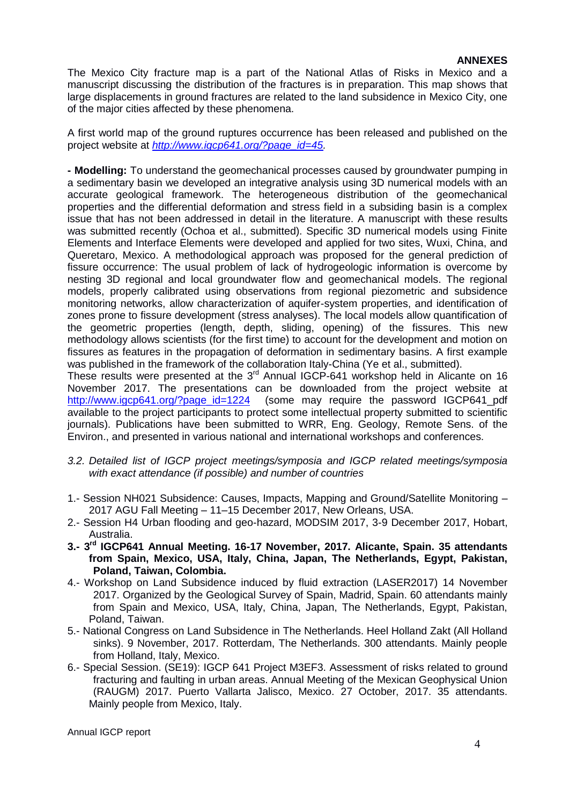The Mexico City fracture map is a part of the National Atlas of Risks in Mexico and a manuscript discussing the distribution of the fractures is in preparation. This map shows that large displacements in ground fractures are related to the land subsidence in Mexico City, one of the major cities affected by these phenomena.

A first world map of the ground ruptures occurrence has been released and published on the project website at *[http://www.igcp641.org/?page\\_id=45.](http://www.igcp641.org/?page_id=45)*

**- Modelling:** To understand the geomechanical processes caused by groundwater pumping in a sedimentary basin we developed an integrative analysis using 3D numerical models with an accurate geological framework. The heterogeneous distribution of the geomechanical properties and the differential deformation and stress field in a subsiding basin is a complex issue that has not been addressed in detail in the literature. A manuscript with these results was submitted recently (Ochoa et al., submitted). Specific 3D numerical models using Finite Elements and Interface Elements were developed and applied for two sites, Wuxi, China, and Queretaro, Mexico. A methodological approach was proposed for the general prediction of fissure occurrence: The usual problem of lack of hydrogeologic information is overcome by nesting 3D regional and local groundwater flow and geomechanical models. The regional models, properly calibrated using observations from regional piezometric and subsidence monitoring networks, allow characterization of aquifer-system properties, and identification of zones prone to fissure development (stress analyses). The local models allow quantification of the geometric properties (length, depth, sliding, opening) of the fissures. This new methodology allows scientists (for the first time) to account for the development and motion on fissures as features in the propagation of deformation in sedimentary basins. A first example was published in the framework of the collaboration Italy-China (Ye et al., submitted).

These results were presented at the 3<sup>rd</sup> Annual IGCP-641 workshop held in Alicante on 16 November 2017. The presentations can be downloaded from the project website at [http://www.igcp641.org/?page\\_id=1224](http://www.igcp641.org/?page_id=1224) (some may require the password IGCP641\_pdf available to the project participants to protect some intellectual property submitted to scientific journals). Publications have been submitted to WRR, Eng. Geology, Remote Sens. of the Environ., and presented in various national and international workshops and conferences.

- *3.2. Detailed list of IGCP project meetings/symposia and IGCP related meetings/symposia with exact attendance (if possible) and number of countries*
- 1.- Session NH021 Subsidence: Causes, Impacts, Mapping and Ground/Satellite Monitoring 2017 AGU Fall Meeting – 11–15 December 2017, New Orleans, USA.
- 2.- Session H4 Urban flooding and geo-hazard, MODSIM 2017, 3-9 December 2017, Hobart, Australia.
- **3.- 3 rd IGCP641 Annual Meeting. 16-17 November, 2017. Alicante, Spain. 35 attendants from Spain, Mexico, USA, Italy, China, Japan, The Netherlands, Egypt, Pakistan, Poland, Taiwan, Colombia.**
- 4.- Workshop on Land Subsidence induced by fluid extraction (LASER2017) 14 November 2017. Organized by the Geological Survey of Spain, Madrid, Spain. 60 attendants mainly from Spain and Mexico, USA, Italy, China, Japan, The Netherlands, Egypt, Pakistan, Poland, Taiwan.
- 5.- National Congress on Land Subsidence in The Netherlands. Heel Holland Zakt (All Holland sinks). 9 November, 2017. Rotterdam, The Netherlands. 300 attendants. Mainly people from Holland, Italy, Mexico.
- 6.- Special Session. (SE19): IGCP 641 Project M3EF3. Assessment of risks related to ground fracturing and faulting in urban areas. Annual Meeting of the Mexican Geophysical Union (RAUGM) 2017. Puerto Vallarta Jalisco, Mexico. 27 October, 2017. 35 attendants. Mainly people from Mexico, Italy.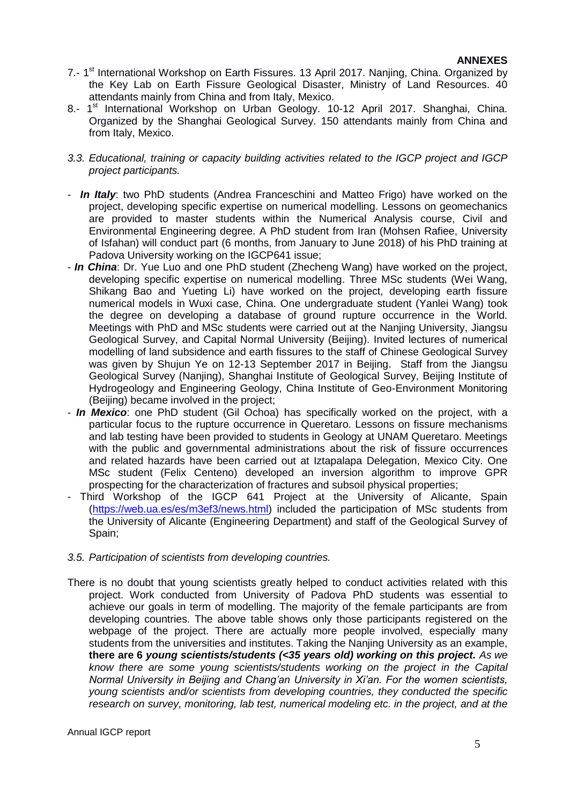- 7.- 1<sup>st</sup> International Workshop on Earth Fissures. 13 April 2017. Nanjing, China. Organized by the Key Lab on Earth Fissure Geological Disaster, Ministry of Land Resources. 40 attendants mainly from China and from Italy, Mexico.
- 8.- 1<sup>st</sup> International Workshop on Urban Geology. 10-12 April 2017. Shanghai, China. Organized by the Shanghai Geological Survey. 150 attendants mainly from China and from Italy, Mexico.
- *3.3. Educational, training or capacity building activities related to the IGCP project and IGCP project participants.*
- *In Italy*: two PhD students (Andrea Franceschini and Matteo Frigo) have worked on the project, developing specific expertise on numerical modelling. Lessons on geomechanics are provided to master students within the Numerical Analysis course, Civil and Environmental Engineering degree. A PhD student from Iran (Mohsen Rafiee, University of Isfahan) will conduct part (6 months, from January to June 2018) of his PhD training at Padova University working on the IGCP641 issue;
- *In China*: Dr. Yue Luo and one PhD student (Zhecheng Wang) have worked on the project, developing specific expertise on numerical modelling. Three MSc students (Wei Wang, Shikang Bao and Yueting Li) have worked on the project, developing earth fissure numerical models in Wuxi case, China. One undergraduate student (Yanlei Wang) took the degree on developing a database of ground rupture occurrence in the World. Meetings with PhD and MSc students were carried out at the Nanjing University, Jiangsu Geological Survey, and Capital Normal University (Beijing). Invited lectures of numerical modelling of land subsidence and earth fissures to the staff of Chinese Geological Survey was given by Shujun Ye on 12-13 September 2017 in Beijing. Staff from the Jiangsu Geological Survey (Nanjing), Shanghai Institute of Geological Survey, Beijing Institute of Hydrogeology and Engineering Geology, China Institute of Geo-Environment Monitoring (Beijing) became involved in the project;
- *In Mexico*: one PhD student (Gil Ochoa) has specifically worked on the project, with a particular focus to the rupture occurrence in Queretaro. Lessons on fissure mechanisms and lab testing have been provided to students in Geology at UNAM Queretaro. Meetings with the public and governmental administrations about the risk of fissure occurrences and related hazards have been carried out at Iztapalapa Delegation, Mexico City. One MSc student (Felix Centeno) developed an inversion algorithm to improve GPR prospecting for the characterization of fractures and subsoil physical properties;
- Third Workshop of the IGCP 641 Project at the University of Alicante, Spain [\(https://web.ua.es/es/m3ef3/news.html\)](https://web.ua.es/es/m3ef3/news.html) included the participation of MSc students from the University of Alicante (Engineering Department) and staff of the Geological Survey of Spain;
- *3.5. Participation of scientists from developing countries.*
- There is no doubt that young scientists greatly helped to conduct activities related with this project. Work conducted from University of Padova PhD students was essential to achieve our goals in term of modelling. The majority of the female participants are from developing countries. The above table shows only those participants registered on the webpage of the project. There are actually more people involved, especially many students from the universities and institutes. Taking the Nanjing University as an example, **there are 6** *young scientists/students (<35 years old) working on this project. As we know there are some young scientists/students working on the project in the Capital Normal University in Beijing and Chang'an University in Xi'an. For the women scientists, young scientists and/or scientists from developing countries, they conducted the specific research on survey, monitoring, lab test, numerical modeling etc. in the project, and at the*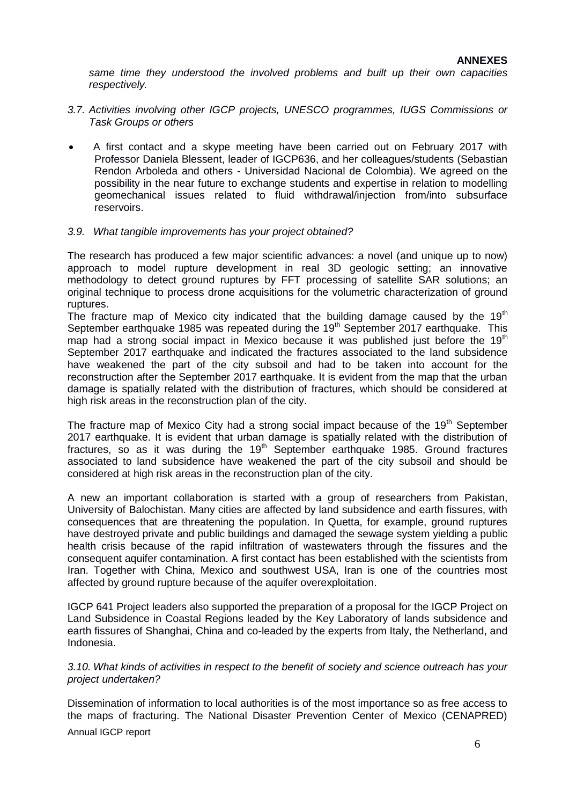*same time they understood the involved problems and built up their own capacities respectively.*

- *3.7. Activities involving other IGCP projects, UNESCO programmes, IUGS Commissions or Task Groups or others*
- A first contact and a skype meeting have been carried out on February 2017 with Professor Daniela Blessent, leader of IGCP636, and her colleagues/students (Sebastian Rendon Arboleda and others - Universidad Nacional de Colombia). We agreed on the possibility in the near future to exchange students and expertise in relation to modelling geomechanical issues related to fluid withdrawal/injection from/into subsurface reservoirs.

#### *3.9. What tangible improvements has your project obtained?*

The research has produced a few major scientific advances: a novel (and unique up to now) approach to model rupture development in real 3D geologic setting; an innovative methodology to detect ground ruptures by FFT processing of satellite SAR solutions; an original technique to process drone acquisitions for the volumetric characterization of ground ruptures.

The fracture map of Mexico city indicated that the building damage caused by the 19<sup>th</sup> September earthquake 1985 was repeated during the  $19<sup>th</sup>$  September 2017 earthquake. This map had a strong social impact in Mexico because it was published just before the  $19<sup>th</sup>$ September 2017 earthquake and indicated the fractures associated to the land subsidence have weakened the part of the city subsoil and had to be taken into account for the reconstruction after the September 2017 earthquake. It is evident from the map that the urban damage is spatially related with the distribution of fractures, which should be considered at high risk areas in the reconstruction plan of the city.

The fracture map of Mexico City had a strong social impact because of the  $19<sup>th</sup>$  September 2017 earthquake. It is evident that urban damage is spatially related with the distribution of fractures, so as it was during the  $19<sup>th</sup>$  September earthquake 1985. Ground fractures associated to land subsidence have weakened the part of the city subsoil and should be considered at high risk areas in the reconstruction plan of the city.

A new an important collaboration is started with a group of researchers from Pakistan, University of Balochistan. Many cities are affected by land subsidence and earth fissures, with consequences that are threatening the population. In Quetta, for example, ground ruptures have destroyed private and public buildings and damaged the sewage system yielding a public health crisis because of the rapid infiltration of wastewaters through the fissures and the consequent aquifer contamination. A first contact has been established with the scientists from Iran. Together with China, Mexico and southwest USA, Iran is one of the countries most affected by ground rupture because of the aquifer overexploitation.

IGCP 641 Project leaders also supported the preparation of a proposal for the IGCP Project on Land Subsidence in Coastal Regions leaded by the Key Laboratory of lands subsidence and earth fissures of Shanghai, China and co-leaded by the experts from Italy, the Netherland, and Indonesia.

*3.10. What kinds of activities in respect to the benefit of society and science outreach has your project undertaken?* 

Dissemination of information to local authorities is of the most importance so as free access to the maps of fracturing. The National Disaster Prevention Center of Mexico (CENAPRED)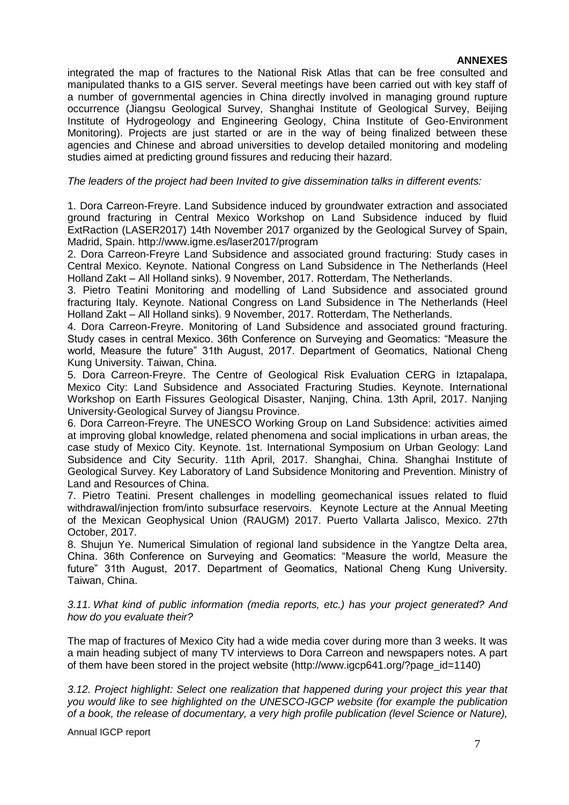integrated the map of fractures to the National Risk Atlas that can be free consulted and manipulated thanks to a GIS server. Several meetings have been carried out with key staff of a number of governmental agencies in China directly involved in managing ground rupture occurrence (Jiangsu Geological Survey, Shanghai Institute of Geological Survey, Beijing Institute of Hydrogeology and Engineering Geology, China Institute of Geo-Environment Monitoring). Projects are just started or are in the way of being finalized between these agencies and Chinese and abroad universities to develop detailed monitoring and modeling studies aimed at predicting ground fissures and reducing their hazard.

#### *The leaders of the project had been Invited to give dissemination talks in different events:*

1. Dora Carreon-Freyre. Land Subsidence induced by groundwater extraction and associated ground fracturing in Central Mexico Workshop on Land Subsidence induced by fluid ExtRaction (LASER2017) 14th November 2017 organized by the Geological Survey of Spain, Madrid, Spain. http://www.igme.es/laser2017/program

2. Dora Carreon-Freyre Land Subsidence and associated ground fracturing: Study cases in Central Mexico. Keynote. National Congress on Land Subsidence in The Netherlands (Heel Holland Zakt – All Holland sinks). 9 November, 2017. Rotterdam, The Netherlands.

3. Pietro Teatini Monitoring and modelling of Land Subsidence and associated ground fracturing Italy. Keynote. National Congress on Land Subsidence in The Netherlands (Heel Holland Zakt – All Holland sinks). 9 November, 2017. Rotterdam, The Netherlands.

4. Dora Carreon-Freyre. Monitoring of Land Subsidence and associated ground fracturing. Study cases in central Mexico. 36th Conference on Surveying and Geomatics: "Measure the world, Measure the future" 31th August, 2017. Department of Geomatics, National Cheng Kung University. Taiwan, China.

5. Dora Carreon-Freyre. The Centre of Geological Risk Evaluation CERG in Iztapalapa, Mexico City: Land Subsidence and Associated Fracturing Studies. Keynote. International Workshop on Earth Fissures Geological Disaster, Nanjing, China. 13th April, 2017. Nanjing University-Geological Survey of Jiangsu Province.

6. Dora Carreon-Freyre. The UNESCO Working Group on Land Subsidence: activities aimed at improving global knowledge, related phenomena and social implications in urban areas, the case study of Mexico City. Keynote. 1st. International Symposium on Urban Geology: Land Subsidence and City Security. 11th April, 2017. Shanghai, China. Shanghai Institute of Geological Survey. Key Laboratory of Land Subsidence Monitoring and Prevention. Ministry of Land and Resources of China.

7. Pietro Teatini. Present challenges in modelling geomechanical issues related to fluid withdrawal/injection from/into subsurface reservoirs. Keynote Lecture at the Annual Meeting of the Mexican Geophysical Union (RAUGM) 2017. Puerto Vallarta Jalisco, Mexico. 27th October, 2017.

8. Shujun Ye. Numerical Simulation of regional land subsidence in the Yangtze Delta area, China. 36th Conference on Surveying and Geomatics: "Measure the world, Measure the future" 31th August, 2017. Department of Geomatics, National Cheng Kung University. Taiwan, China.

*3.11. What kind of public information (media reports, etc.) has your project generated? And how do you evaluate their?*

The map of fractures of Mexico City had a wide media cover during more than 3 weeks. It was a main heading subject of many TV interviews to Dora Carreon and newspapers notes. A part of them have been stored in the project website (http://www.igcp641.org/?page\_id=1140)

*3.12. Project highlight: Select one realization that happened during your project this year that you would like to see highlighted on the UNESCO-IGCP website (for example the publication of a book, the release of documentary, a very high profile publication (level Science or Nature),*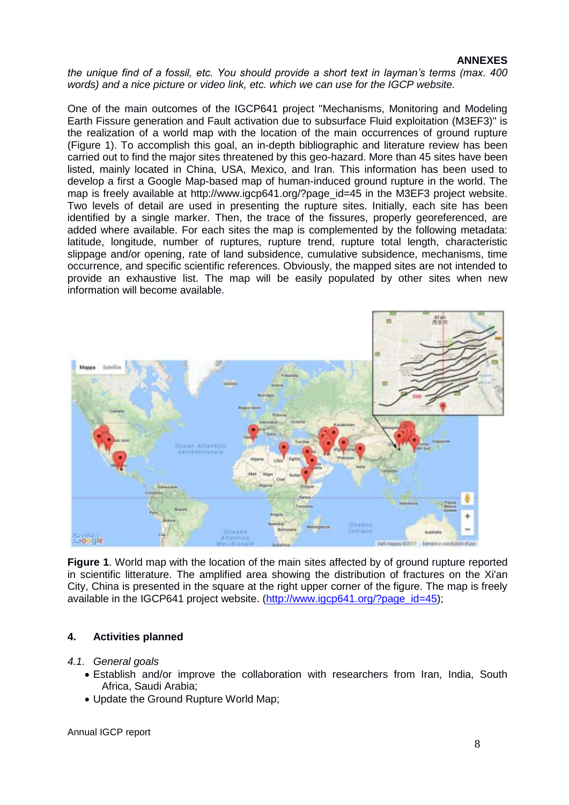*the unique find of a fossil, etc. You should provide a short text in layman's terms (max. 400 words) and a nice picture or video link, etc. which we can use for the IGCP website.*

One of the main outcomes of the IGCP641 project "Mechanisms, Monitoring and Modeling Earth Fissure generation and Fault activation due to subsurface Fluid exploitation (M3EF3)" is the realization of a world map with the location of the main occurrences of ground rupture (Figure 1). To accomplish this goal, an in-depth bibliographic and literature review has been carried out to find the major sites threatened by this geo-hazard. More than 45 sites have been listed, mainly located in China, USA, Mexico, and Iran. This information has been used to develop a first a Google Map-based map of human-induced ground rupture in the world. The map is freely available at http://www.igcp641.org/?page\_id=45 in the M3EF3 project website. Two levels of detail are used in presenting the rupture sites. Initially, each site has been identified by a single marker. Then, the trace of the fissures, properly georeferenced, are added where available. For each sites the map is complemented by the following metadata: latitude, longitude, number of ruptures, rupture trend, rupture total length, characteristic slippage and/or opening, rate of land subsidence, cumulative subsidence, mechanisms, time occurrence, and specific scientific references. Obviously, the mapped sites are not intended to provide an exhaustive list. The map will be easily populated by other sites when new information will become available.



**Figure 1**. World map with the location of the main sites affected by of ground rupture reported in scientific litterature. The amplified area showing the distribution of fractures on the Xi'an City, China is presented in the square at the right upper corner of the figure. The map is freely available in the IGCP641 project website. (http://www.jacp641.org/?page\_id=45);

### **4. Activities planned**

### *4.1. General goals*

- Establish and/or improve the collaboration with researchers from Iran, India, South Africa, Saudi Arabia;
- Update the Ground Rupture World Map: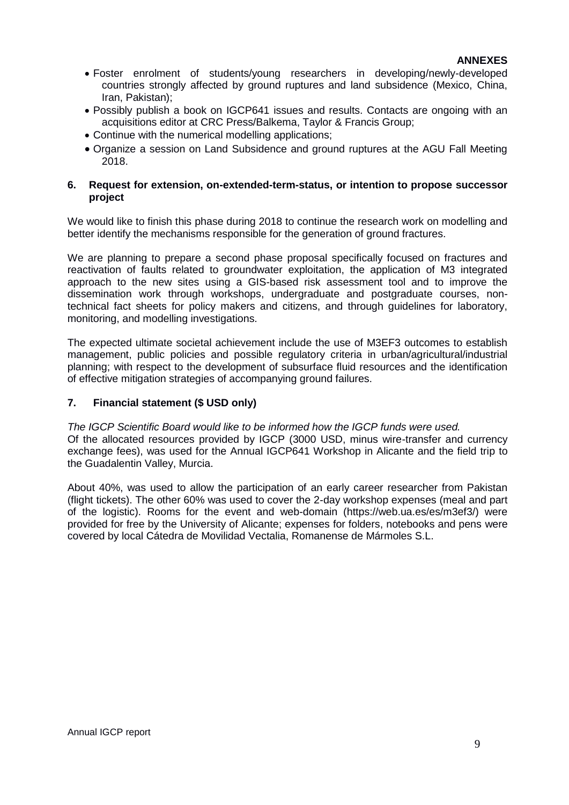- Foster enrolment of students/young researchers in developing/newly-developed countries strongly affected by ground ruptures and land subsidence (Mexico, China, Iran, Pakistan);
- Possibly publish a book on IGCP641 issues and results. Contacts are ongoing with an acquisitions editor at CRC Press/Balkema, Taylor & Francis Group;
- Continue with the numerical modelling applications;
- Organize a session on Land Subsidence and ground ruptures at the AGU Fall Meeting 2018.

### **6. Request for extension, on-extended-term-status, or intention to propose successor project**

We would like to finish this phase during 2018 to continue the research work on modelling and better identify the mechanisms responsible for the generation of ground fractures.

We are planning to prepare a second phase proposal specifically focused on fractures and reactivation of faults related to groundwater exploitation, the application of M3 integrated approach to the new sites using a GIS-based risk assessment tool and to improve the dissemination work through workshops, undergraduate and postgraduate courses, nontechnical fact sheets for policy makers and citizens, and through guidelines for laboratory, monitoring, and modelling investigations.

The expected ultimate societal achievement include the use of M3EF3 outcomes to establish management, public policies and possible regulatory criteria in urban/agricultural/industrial planning; with respect to the development of subsurface fluid resources and the identification of effective mitigation strategies of accompanying ground failures.

### **7. Financial statement (\$ USD only)**

*The IGCP Scientific Board would like to be informed how the IGCP funds were used.* Of the allocated resources provided by IGCP (3000 USD, minus wire-transfer and currency exchange fees), was used for the Annual IGCP641 Workshop in Alicante and the field trip to the Guadalentin Valley, Murcia.

About 40%, was used to allow the participation of an early career researcher from Pakistan (flight tickets). The other 60% was used to cover the 2-day workshop expenses (meal and part of the logistic). Rooms for the event and web-domain (https://web.ua.es/es/m3ef3/) were provided for free by the University of Alicante; expenses for folders, notebooks and pens were covered by local Cátedra de Movilidad Vectalia, Romanense de Mármoles S.L.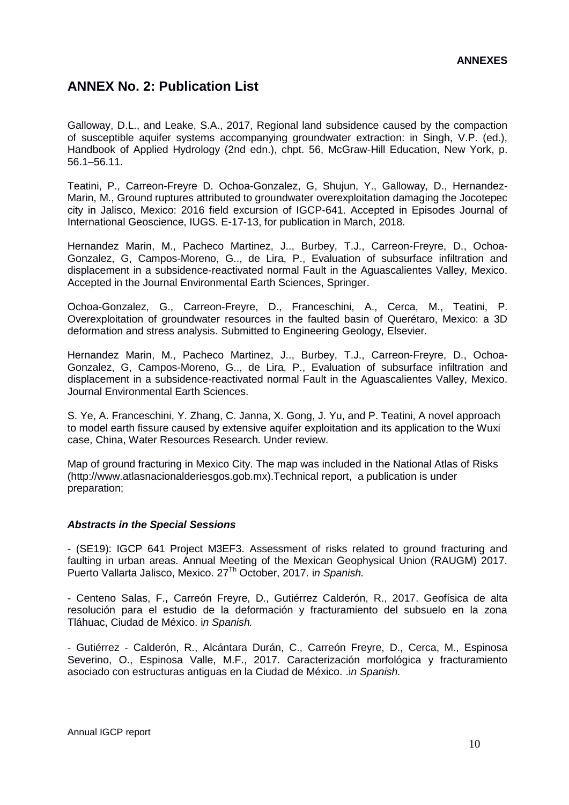## **ANNEX No. 2: Publication List**

Galloway, D.L., and Leake, S.A., 2017, Regional land subsidence caused by the compaction of susceptible aquifer systems accompanying groundwater extraction: in Singh, V.P. (ed.), Handbook of Applied Hydrology (2nd edn.), chpt. 56, McGraw-Hill Education, New York, p. 56.1–56.11.

Teatini, P., Carreon-Freyre D. Ochoa-Gonzalez, G, Shujun, Y., Galloway, D., Hernandez-Marin, M., Ground ruptures attributed to groundwater overexploitation damaging the Jocotepec city in Jalisco, Mexico: 2016 field excursion of IGCP-641. Accepted in Episodes Journal of International Geoscience, IUGS. E-17-13, for publication in March, 2018.

Hernandez Marin, M., Pacheco Martinez, J.., Burbey, T.J., Carreon-Freyre, D., Ochoa-Gonzalez, G, Campos-Moreno, G.., de Lira, P., Evaluation of subsurface infiltration and displacement in a subsidence-reactivated normal Fault in the Aguascalientes Valley, Mexico. Accepted in the Journal Environmental Earth Sciences, Springer.

Ochoa-Gonzalez, G., Carreon-Freyre, D., Franceschini, A., Cerca, M., Teatini, P. Overexploitation of groundwater resources in the faulted basin of Querétaro, Mexico: a 3D deformation and stress analysis. Submitted to Engineering Geology, Elsevier.

Hernandez Marin, M., Pacheco Martinez, J.., Burbey, T.J., Carreon-Freyre, D., Ochoa-Gonzalez, G, Campos-Moreno, G.., de Lira, P., Evaluation of subsurface infiltration and displacement in a subsidence-reactivated normal Fault in the Aguascalientes Valley, Mexico. Journal Environmental Earth Sciences.

S. Ye, A. Franceschini, Y. Zhang, C. Janna, X. Gong, J. Yu, and P. Teatini, A novel approach to model earth fissure caused by extensive aquifer exploitation and its application to the Wuxi case, China, Water Resources Research. Under review.

Map of ground fracturing in Mexico City. The map was included in the National Atlas of Risks (http://www.atlasnacionalderiesgos.gob.mx).Technical report, a publication is under preparation;

### *Abstracts in the Special Sessions*

- (SE19): IGCP 641 Project M3EF3. Assessment of risks related to ground fracturing and faulting in urban areas. Annual Meeting of the Mexican Geophysical Union (RAUGM) 2017. Puerto Vallarta Jalisco, Mexico. 27Th October, 2017. i*n Spanish.*

- Centeno Salas, F.**,** Carreón Freyre, D., Gutiérrez Calderón, R., 2017. Geofísica de alta resolución para el estudio de la deformación y fracturamiento del subsuelo en la zona Tláhuac, Ciudad de México. i*n Spanish.*

- Gutiérrez - Calderón, R., Alcántara Durán, C., Carreón Freyre, D., Cerca, M., Espinosa Severino, O., Espinosa Valle, M.F., 2017. Caracterización morfológica y fracturamiento asociado con estructuras antiguas en la Ciudad de México. .i*n Spanish.*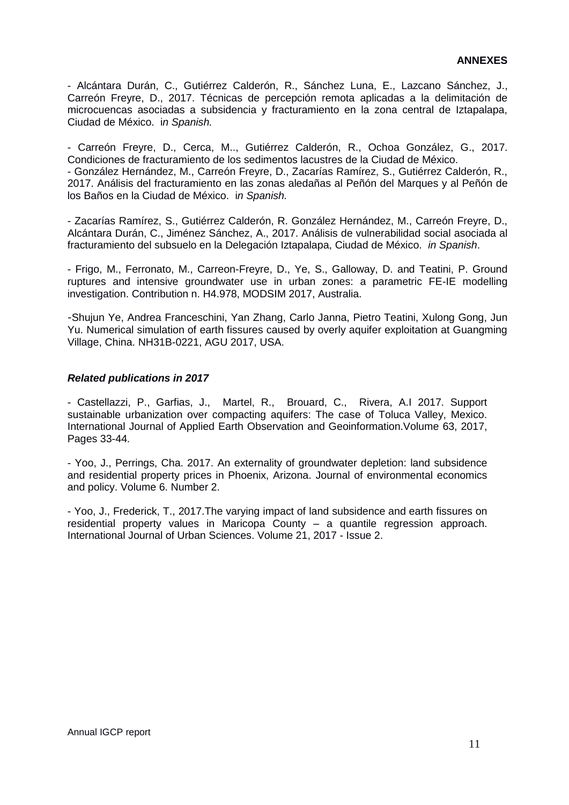- Alcántara Durán, C., Gutiérrez Calderón, R., Sánchez Luna, E., Lazcano Sánchez, J., Carreón Freyre, D., 2017. Técnicas de percepción remota aplicadas a la delimitación de microcuencas asociadas a subsidencia y fracturamiento en la zona central de Iztapalapa, Ciudad de México. i*n Spanish.*

- Carreón Freyre, D., Cerca, M.., Gutiérrez Calderón, R., Ochoa González, G., 2017. Condiciones de fracturamiento de los sedimentos lacustres de la Ciudad de México. - González Hernández, M., Carreón Freyre, D., Zacarías Ramírez, S., Gutiérrez Calderón, R., 2017. Análisis del fracturamiento en las zonas aledañas al Peñón del Marques y al Peñón de los Baños en la Ciudad de México. i*n Spanish.*

- Zacarías Ramírez, S., Gutiérrez Calderón, R. González Hernández, M., Carreón Freyre, D., Alcántara Durán, C., Jiménez Sánchez, A., 2017. Análisis de vulnerabilidad social asociada al fracturamiento del subsuelo en la Delegación Iztapalapa, Ciudad de México. *in Spanish*.

- Frigo, M., Ferronato, M., Carreon-Freyre, D., Ye, S., Galloway, D. and Teatini, P. Ground ruptures and intensive groundwater use in urban zones: a parametric FE-IE modelling investigation. Contribution n. H4.978, MODSIM 2017, Australia.

-Shujun Ye, Andrea Franceschini, Yan Zhang, Carlo Janna, Pietro Teatini, Xulong Gong, Jun Yu. Numerical simulation of earth fissures caused by overly aquifer exploitation at Guangming Village, China. NH31B-0221, AGU 2017, USA.

#### *Related publications in 2017*

- Castellazzi, P., Garfias, J., Martel, R., Brouard, C., Rivera, A.I 2017. Support sustainable urbanization over compacting aquifers: The case of Toluca Valley, Mexico. International Journal of Applied Earth Observation and Geoinformation.Volume 63, 2017, Pages 33-44.

- Yoo, J., Perrings, Cha. 2017. An externality of groundwater depletion: land subsidence and residential property prices in Phoenix, Arizona. Journal of environmental economics and policy. Volume 6. Number 2.

- Yoo, J., Frederick, T., 2017.The varying impact of land subsidence and earth fissures on residential property values in Maricopa County – a quantile regression approach. International Journal of Urban Sciences. Volume 21, 2017 - Issue 2.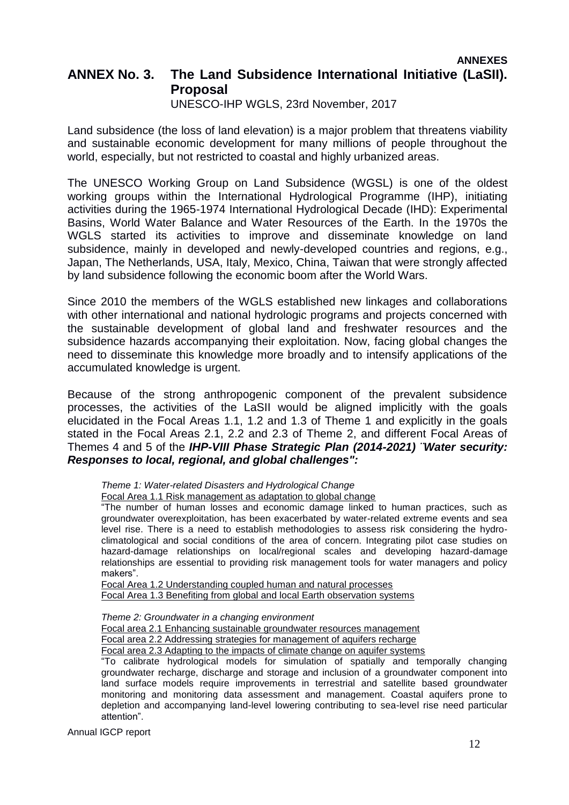## **ANNEXES ANNEX No. 3. The Land Subsidence International Initiative (LaSII). Proposal**

UNESCO-IHP WGLS, 23rd November, 2017

Land subsidence (the loss of land elevation) is a major problem that threatens viability and sustainable economic development for many millions of people throughout the world, especially, but not restricted to coastal and highly urbanized areas.

The UNESCO Working Group on Land Subsidence (WGSL) is one of the oldest working groups within the International Hydrological Programme (IHP), initiating activities during the 1965-1974 International Hydrological Decade (IHD): Experimental Basins, World Water Balance and Water Resources of the Earth. In the 1970s the WGLS started its activities to improve and disseminate knowledge on land subsidence, mainly in developed and newly-developed countries and regions, e.g., Japan, The Netherlands, USA, Italy, Mexico, China, Taiwan that were strongly affected by land subsidence following the economic boom after the World Wars.

Since 2010 the members of the WGLS established new linkages and collaborations with other international and national hydrologic programs and projects concerned with the sustainable development of global land and freshwater resources and the subsidence hazards accompanying their exploitation. Now, facing global changes the need to disseminate this knowledge more broadly and to intensify applications of the accumulated knowledge is urgent.

Because of the strong anthropogenic component of the prevalent subsidence processes, the activities of the LaSII would be aligned implicitly with the goals elucidated in the Focal Areas 1.1, 1.2 and 1.3 of Theme 1 and explicitly in the goals stated in the Focal Areas 2.1, 2.2 and 2.3 of Theme 2, and different Focal Areas of Themes 4 and 5 of the *IHP-VIII Phase Strategic Plan (2014-2021) ¨Water security: Responses to local, regional, and global challenges":* 

*Theme 1: Water-related Disasters and Hydrological Change*

Focal Area 1.1 Risk management as adaptation to global change

"The number of human losses and economic damage linked to human practices, such as groundwater overexploitation, has been exacerbated by water-related extreme events and sea level rise. There is a need to establish methodologies to assess risk considering the hydroclimatological and social conditions of the area of concern. Integrating pilot case studies on hazard-damage relationships on local/regional scales and developing hazard-damage relationships are essential to providing risk management tools for water managers and policy makers".

Focal Area 1.2 Understanding coupled human and natural processes Focal Area 1.3 Benefiting from global and local Earth observation systems

*Theme 2: Groundwater in a changing environment* 

Focal area 2.1 Enhancing sustainable groundwater resources management

Focal area 2.2 Addressing strategies for management of aquifers recharge

Focal area 2.3 Adapting to the impacts of climate change on aquifer systems

"To calibrate hydrological models for simulation of spatially and temporally changing groundwater recharge, discharge and storage and inclusion of a groundwater component into land surface models require improvements in terrestrial and satellite based groundwater monitoring and monitoring data assessment and management. Coastal aquifers prone to depletion and accompanying land-level lowering contributing to sea-level rise need particular attention".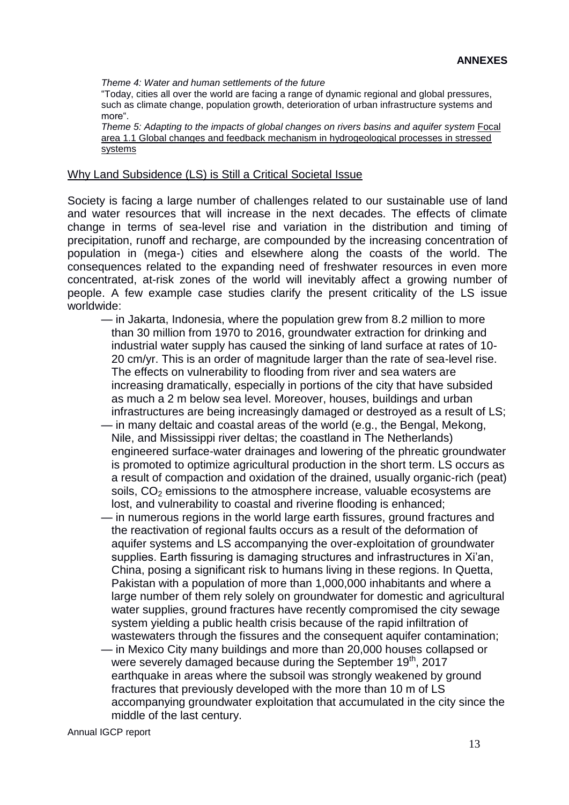*Theme 4: Water and human settlements of the future*

"Today, cities all over the world are facing a range of dynamic regional and global pressures, such as climate change, population growth, deterioration of urban infrastructure systems and more".

*Theme 5: Adapting to the impacts of global changes on rivers basins and aquifer system Focal* area 1.1 Global changes and feedback mechanism in hydrogeological processes in stressed systems

#### Why Land Subsidence (LS) is Still a Critical Societal Issue

Society is facing a large number of challenges related to our sustainable use of land and water resources that will increase in the next decades. The effects of climate change in terms of sea-level rise and variation in the distribution and timing of precipitation, runoff and recharge, are compounded by the increasing concentration of population in (mega-) cities and elsewhere along the coasts of the world. The consequences related to the expanding need of freshwater resources in even more concentrated, at-risk zones of the world will inevitably affect a growing number of people. A few example case studies clarify the present criticality of the LS issue worldwide:

- in Jakarta, Indonesia, where the population grew from 8.2 million to more than 30 million from 1970 to 2016, groundwater extraction for drinking and industrial water supply has caused the sinking of land surface at rates of 10- 20 cm/yr. This is an order of magnitude larger than the rate of sea-level rise. The effects on vulnerability to flooding from river and sea waters are increasing dramatically, especially in portions of the city that have subsided as much a 2 m below sea level. Moreover, houses, buildings and urban infrastructures are being increasingly damaged or destroyed as a result of LS;
- in many deltaic and coastal areas of the world (e.g., the Bengal, Mekong, Nile, and Mississippi river deltas; the coastland in The Netherlands) engineered surface-water drainages and lowering of the phreatic groundwater is promoted to optimize agricultural production in the short term. LS occurs as a result of compaction and oxidation of the drained, usually organic-rich (peat) soils,  $CO<sub>2</sub>$  emissions to the atmosphere increase, valuable ecosystems are lost, and vulnerability to coastal and riverine flooding is enhanced;
- in numerous regions in the world large earth fissures, ground fractures and the reactivation of regional faults occurs as a result of the deformation of aquifer systems and LS accompanying the over-exploitation of groundwater supplies. Earth fissuring is damaging structures and infrastructures in Xi'an, China, posing a significant risk to humans living in these regions. In Quetta, Pakistan with a population of more than 1,000,000 inhabitants and where a large number of them rely solely on groundwater for domestic and agricultural water supplies, ground fractures have recently compromised the city sewage system yielding a public health crisis because of the rapid infiltration of wastewaters through the fissures and the consequent aquifer contamination;
- in Mexico City many buildings and more than 20,000 houses collapsed or were severely damaged because during the September 19<sup>th</sup>, 2017 earthquake in areas where the subsoil was strongly weakened by ground fractures that previously developed with the more than 10 m of LS accompanying groundwater exploitation that accumulated in the city since the middle of the last century.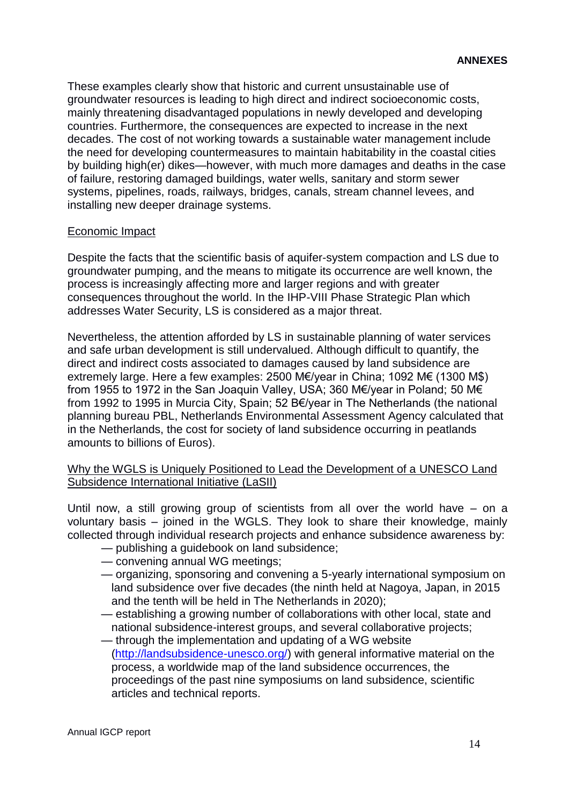These examples clearly show that historic and current unsustainable use of groundwater resources is leading to high direct and indirect socioeconomic costs, mainly threatening disadvantaged populations in newly developed and developing countries. Furthermore, the consequences are expected to increase in the next decades. The cost of not working towards a sustainable water management include the need for developing countermeasures to maintain habitability in the coastal cities by building high(er) dikes—however, with much more damages and deaths in the case of failure, restoring damaged buildings, water wells, sanitary and storm sewer systems, pipelines, roads, railways, bridges, canals, stream channel levees, and installing new deeper drainage systems.

### Economic Impact

Despite the facts that the scientific basis of aquifer-system compaction and LS due to groundwater pumping, and the means to mitigate its occurrence are well known, the process is increasingly affecting more and larger regions and with greater consequences throughout the world. In the IHP-VIII Phase Strategic Plan which addresses Water Security, LS is considered as a major threat.

Nevertheless, the attention afforded by LS in sustainable planning of water services and safe urban development is still undervalued. Although difficult to quantify, the direct and indirect costs associated to damages caused by land subsidence are extremely large. Here a few examples: 2500 M€/year in China; 1092 M€ (1300 M\$) from 1955 to 1972 in the San Joaquin Valley, USA; 360 M€/year in Poland; 50 M€ from 1992 to 1995 in Murcia City, Spain; 52 B€/year in The Netherlands (the national planning bureau PBL, Netherlands Environmental Assessment Agency calculated that in the Netherlands, the cost for society of land subsidence occurring in peatlands amounts to billions of Euros).

Why the WGLS is Uniquely Positioned to Lead the Development of a UNESCO Land Subsidence International Initiative (LaSII)

Until now, a still growing group of scientists from all over the world have – on a voluntary basis – joined in the WGLS. They look to share their knowledge, mainly collected through individual research projects and enhance subsidence awareness by:

- publishing a guidebook on land subsidence;
- convening annual WG meetings;
- organizing, sponsoring and convening a 5-yearly international symposium on land subsidence over five decades (the ninth held at Nagoya, Japan, in 2015 and the tenth will be held in The Netherlands in 2020);
- establishing a growing number of collaborations with other local, state and national subsidence-interest groups, and several collaborative projects;
- through the implementation and updating of a WG website [\(http://landsubsidence-unesco.org/\)](http://landsubsidence-unesco.org/) with general informative material on the process, a worldwide map of the land subsidence occurrences, the proceedings of the past nine symposiums on land subsidence, scientific articles and technical reports.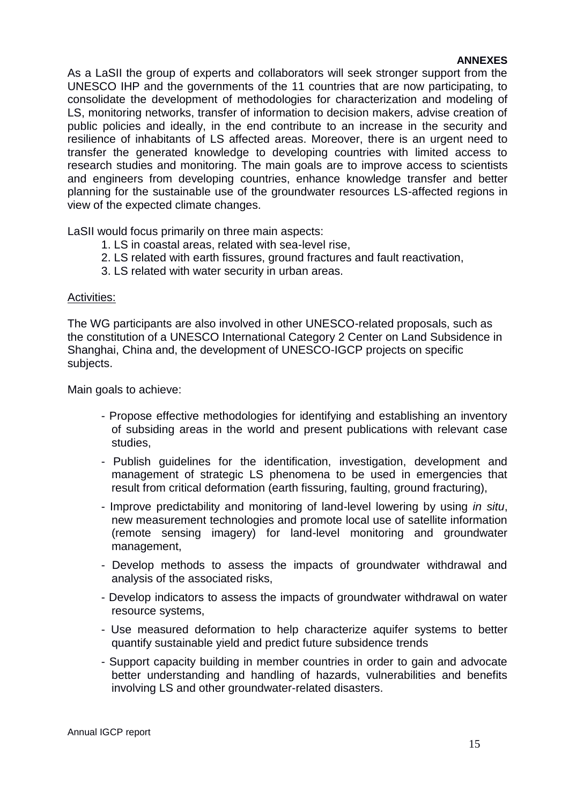As a LaSII the group of experts and collaborators will seek stronger support from the UNESCO IHP and the governments of the 11 countries that are now participating, to consolidate the development of methodologies for characterization and modeling of LS, monitoring networks, transfer of information to decision makers, advise creation of public policies and ideally, in the end contribute to an increase in the security and resilience of inhabitants of LS affected areas. Moreover, there is an urgent need to transfer the generated knowledge to developing countries with limited access to research studies and monitoring. The main goals are to improve access to scientists and engineers from developing countries, enhance knowledge transfer and better planning for the sustainable use of the groundwater resources LS-affected regions in view of the expected climate changes.

LaSII would focus primarily on three main aspects:

- 1. LS in coastal areas, related with sea-level rise,
- 2. LS related with earth fissures, ground fractures and fault reactivation,
- 3. LS related with water security in urban areas.

### Activities:

The WG participants are also involved in other UNESCO-related proposals, such as the constitution of a UNESCO International Category 2 Center on Land Subsidence in Shanghai, China and, the development of UNESCO-IGCP projects on specific subjects.

Main goals to achieve:

- Propose effective methodologies for identifying and establishing an inventory of subsiding areas in the world and present publications with relevant case studies,
- Publish guidelines for the identification, investigation, development and management of strategic LS phenomena to be used in emergencies that result from critical deformation (earth fissuring, faulting, ground fracturing),
- Improve predictability and monitoring of land-level lowering by using *in situ*, new measurement technologies and promote local use of satellite information (remote sensing imagery) for land-level monitoring and groundwater management,
- Develop methods to assess the impacts of groundwater withdrawal and analysis of the associated risks,
- Develop indicators to assess the impacts of groundwater withdrawal on water resource systems,
- Use measured deformation to help characterize aquifer systems to better quantify sustainable yield and predict future subsidence trends
- Support capacity building in member countries in order to gain and advocate better understanding and handling of hazards, vulnerabilities and benefits involving LS and other groundwater-related disasters.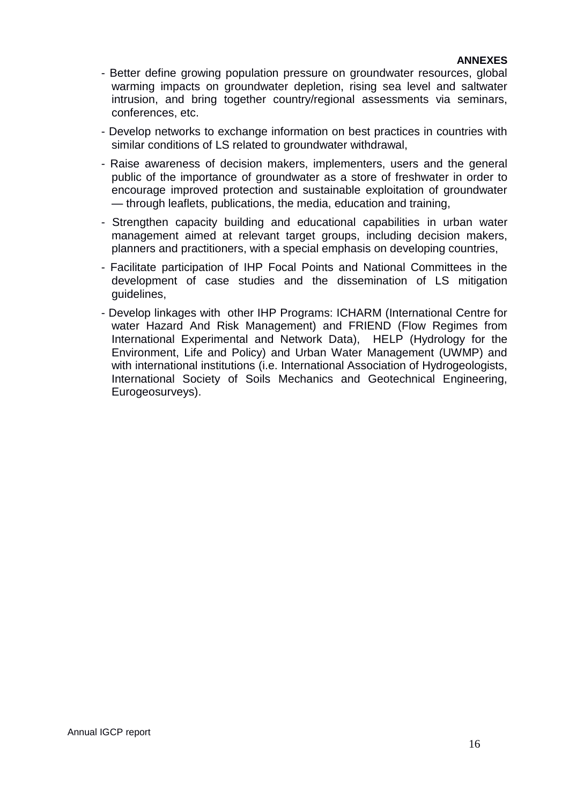- Better define growing population pressure on groundwater resources, global warming impacts on groundwater depletion, rising sea level and saltwater intrusion, and bring together country/regional assessments via seminars, conferences, etc.
- Develop networks to exchange information on best practices in countries with similar conditions of LS related to groundwater withdrawal,
- Raise awareness of decision makers, implementers, users and the general public of the importance of groundwater as a store of freshwater in order to encourage improved protection and sustainable exploitation of groundwater — through leaflets, publications, the media, education and training,
- Strengthen capacity building and educational capabilities in urban water management aimed at relevant target groups, including decision makers, planners and practitioners, with a special emphasis on developing countries,
- Facilitate participation of IHP Focal Points and National Committees in the development of case studies and the dissemination of LS mitigation guidelines,
- Develop linkages with other IHP Programs: ICHARM (International Centre for water Hazard And Risk Management) and FRIEND (Flow Regimes from International Experimental and Network Data), HELP (Hydrology for the Environment, Life and Policy) and Urban Water Management (UWMP) and with international institutions (i.e. International Association of Hydrogeologists, International Society of Soils Mechanics and Geotechnical Engineering, Eurogeosurveys).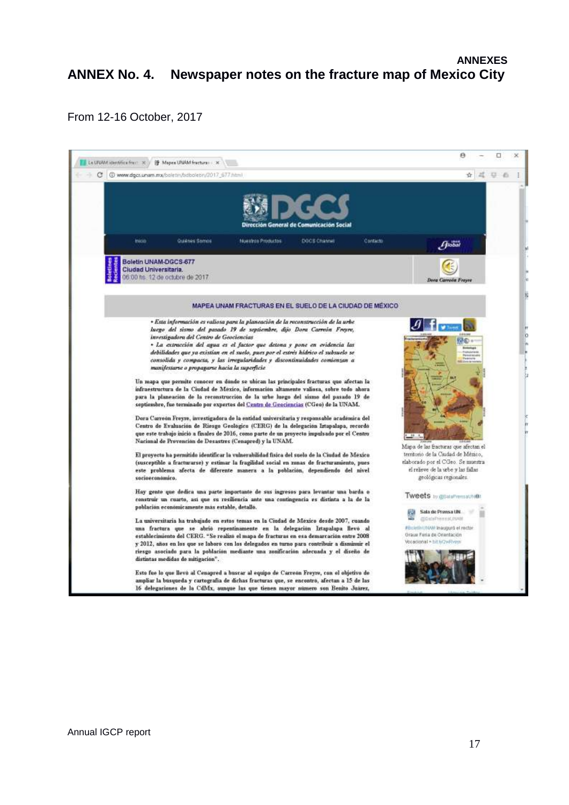## **ANNEXES ANNEX No. 4. Newspaper notes on the fracture map of Mexico City**

From 12-16 October, 2017

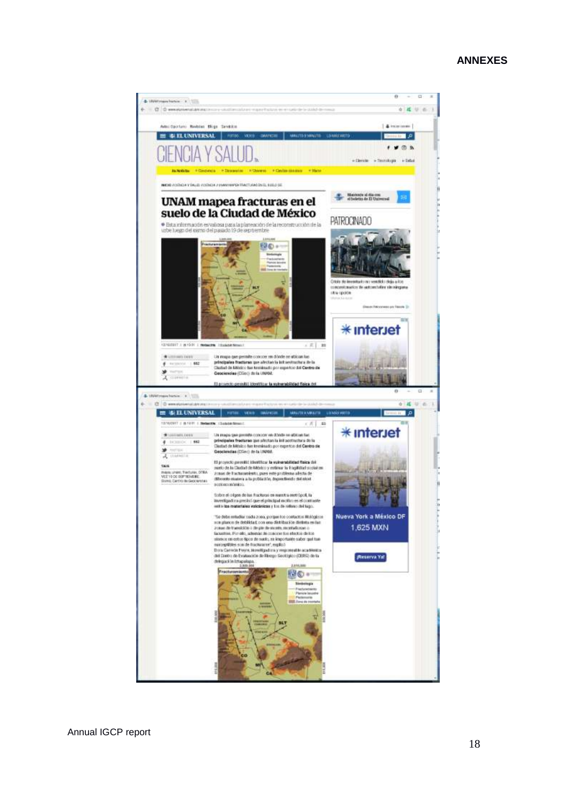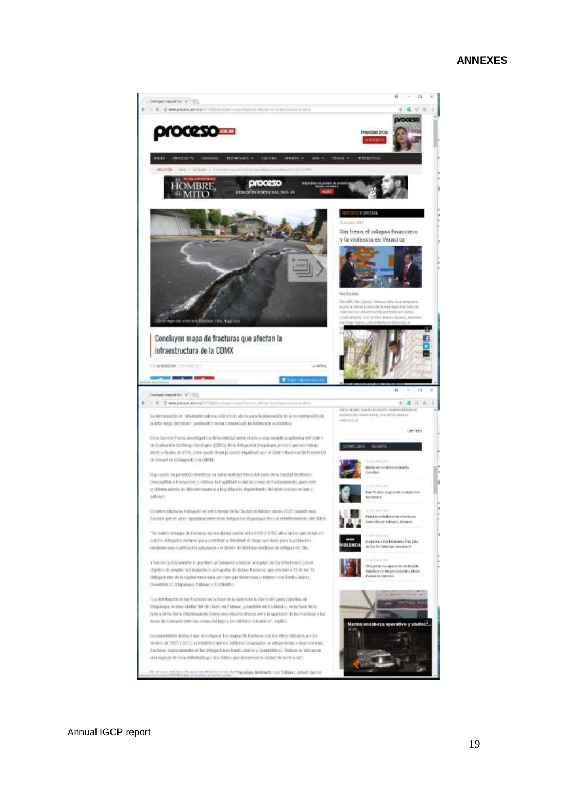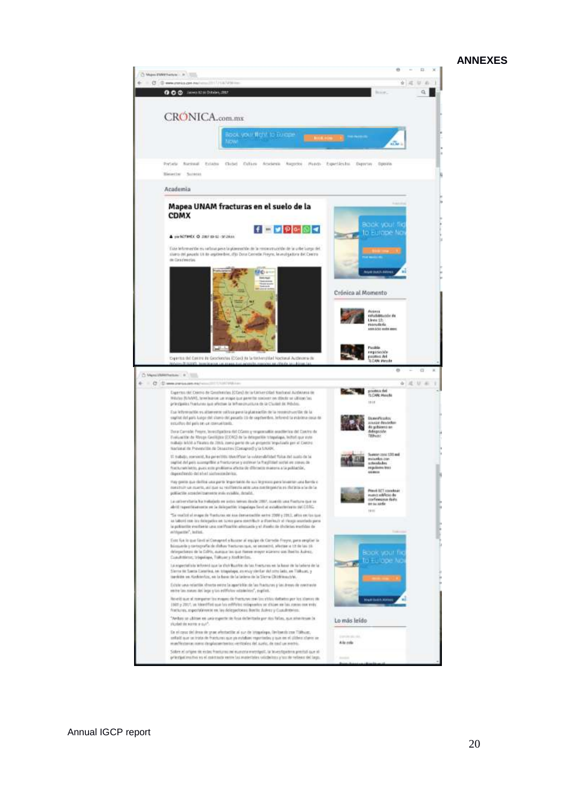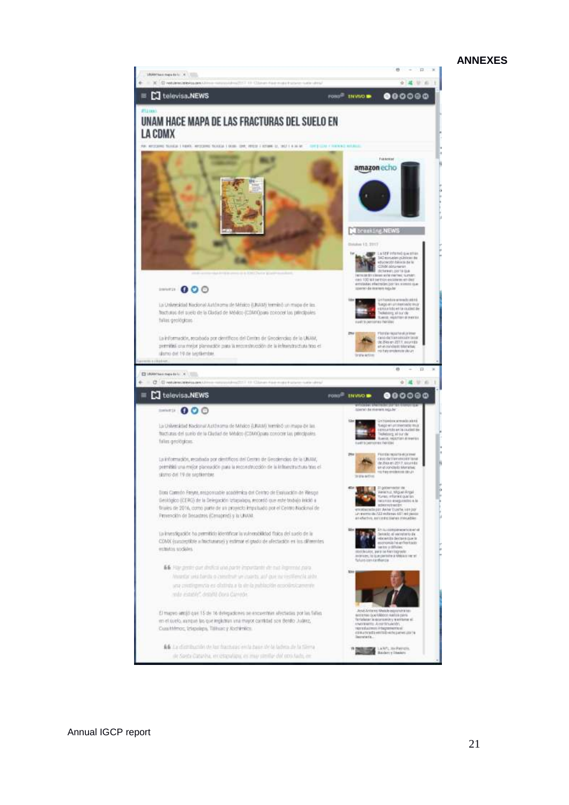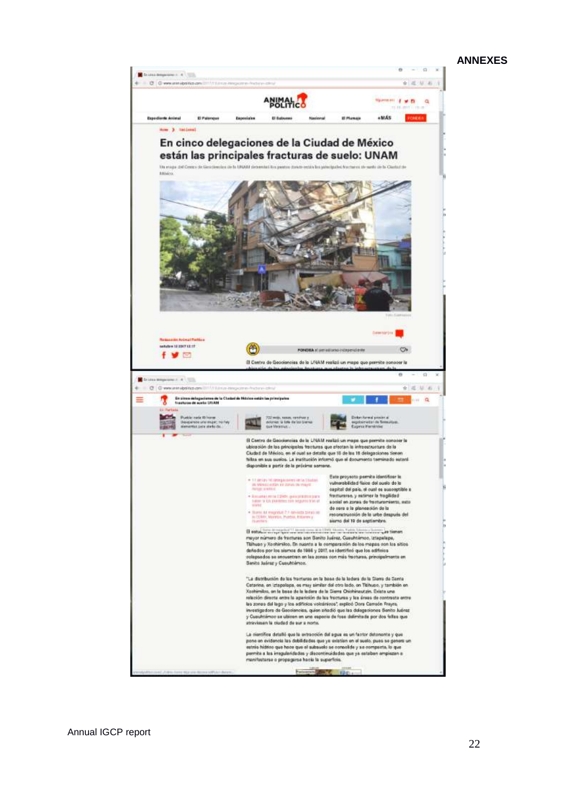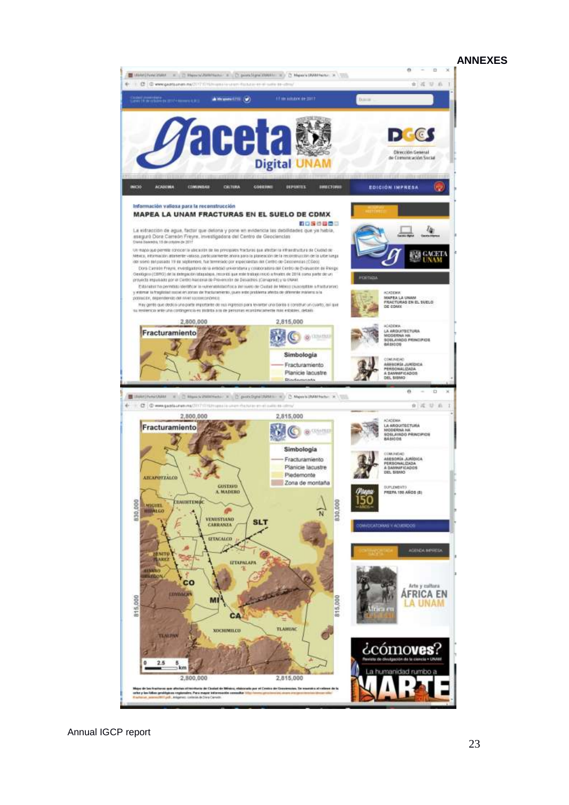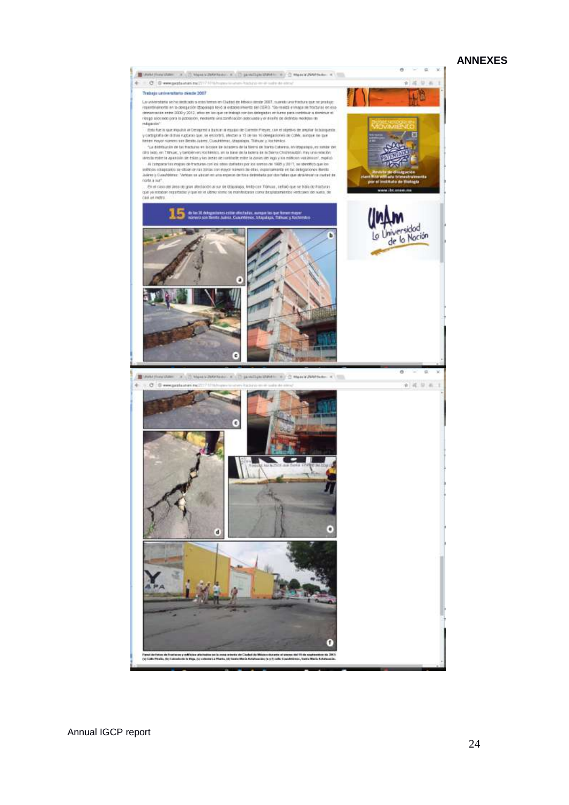